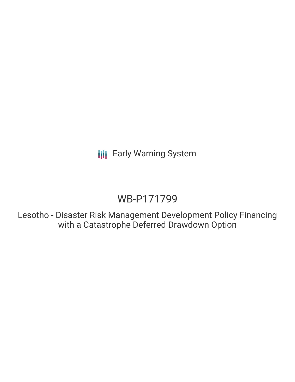**III** Early Warning System

# WB-P171799

Lesotho - Disaster Risk Management Development Policy Financing with a Catastrophe Deferred Drawdown Option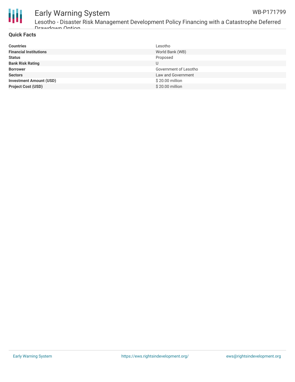

#### Early Warning System WB-P171799

Lesotho - Disaster Risk Management Development Policy Financing with a Catastrophe Deferred Drawdown Option

### **Quick Facts**

| <b>Countries</b>               | Lesotho               |
|--------------------------------|-----------------------|
| <b>Financial Institutions</b>  | World Bank (WB)       |
| <b>Status</b>                  | Proposed              |
| <b>Bank Risk Rating</b>        | U                     |
| <b>Borrower</b>                | Government of Lesotho |
| <b>Sectors</b>                 | Law and Government    |
| <b>Investment Amount (USD)</b> | \$20.00 million       |
| <b>Project Cost (USD)</b>      | \$20.00 million       |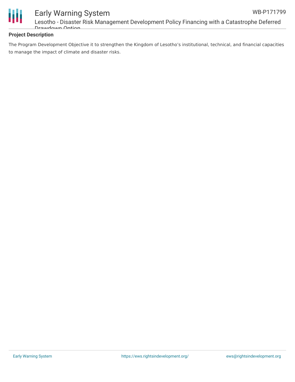

## Early Warning System Lesotho - Disaster Risk Management Development Policy Financing with a Catastrophe Deferred Drawdown Option

### **Project Description**

The Program Development Objective it to strengthen the Kingdom of Lesotho's institutional, technical, and financial capacities to manage the impact of climate and disaster risks.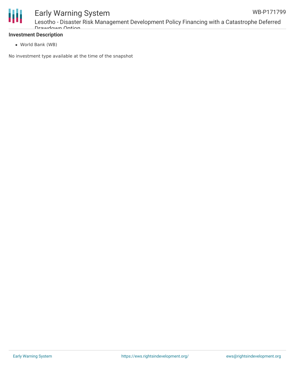

## Early Warning System Lesotho - Disaster Risk Management Development Policy Financing with a Catastrophe Deferred Drawdown Option

World Bank (WB)

No investment type available at the time of the snapshot